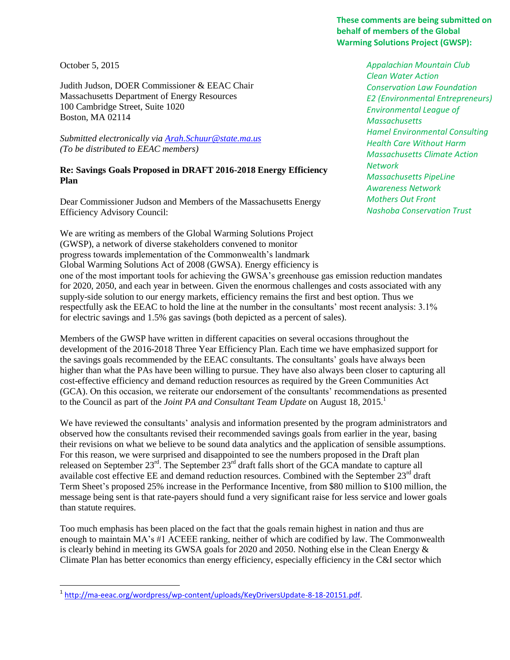## **These comments are being submitted on behalf of members of the Global Warming Solutions Project (GWSP):**

October 5, 2015

 $\overline{\phantom{a}}$ 

Judith Judson, DOER Commissioner & EEAC Chair Massachusetts Department of Energy Resources 100 Cambridge Street, Suite 1020 Boston, MA 02114

*Submitted electronically via [Arah.Schuur@state.ma.us](mailto:Arah.Schuur@state.ma.us) (To be distributed to EEAC members)*

## **Re: Savings Goals Proposed in DRAFT 2016-2018 Energy Efficiency Plan**

Dear Commissioner Judson and Members of the Massachusetts Energy Efficiency Advisory Council:

We are writing as members of the Global Warming Solutions Project (GWSP), a network of diverse stakeholders convened to monitor progress towards implementation of the Commonwealth's landmark Global Warming Solutions Act of 2008 (GWSA). Energy efficiency is *Appalachian Mountain Club Clean Water Action Conservation Law Foundation E2 (Environmental Entrepreneurs) Environmental League of Massachusetts Hamel Environmental Consulting Health Care Without Harm Massachusetts Climate Action Network Massachusetts PipeLine Awareness Network Mothers Out Front Nashoba Conservation Trust*

one of the most important tools for achieving the GWSA's greenhouse gas emission reduction mandates for 2020, 2050, and each year in between. Given the enormous challenges and costs associated with any supply-side solution to our energy markets, efficiency remains the first and best option. Thus we respectfully ask the EEAC to hold the line at the number in the consultants' most recent analysis: 3.1% for electric savings and 1.5% gas savings (both depicted as a percent of sales).

Members of the GWSP have written in different capacities on several occasions throughout the development of the 2016-2018 Three Year Efficiency Plan. Each time we have emphasized support for the savings goals recommended by the EEAC consultants. The consultants' goals have always been higher than what the PAs have been willing to pursue. They have also always been closer to capturing all cost-effective efficiency and demand reduction resources as required by the Green Communities Act (GCA). On this occasion, we reiterate our endorsement of the consultants' recommendations as presented to the Council as part of the *Joint PA and Consultant Team Update* on August 18, 2015.<sup>1</sup>

We have reviewed the consultants' analysis and information presented by the program administrators and observed how the consultants revised their recommended savings goals from earlier in the year, basing their revisions on what we believe to be sound data analytics and the application of sensible assumptions. For this reason, we were surprised and disappointed to see the numbers proposed in the Draft plan released on September  $23^{rd}$ . The September  $23^{rd}$  draft falls short of the GCA mandate to capture all available cost effective EE and demand reduction resources. Combined with the September  $23<sup>rd</sup>$  draft Term Sheet's proposed 25% increase in the Performance Incentive, from \$80 million to \$100 million, the message being sent is that rate-payers should fund a very significant raise for less service and lower goals than statute requires.

Too much emphasis has been placed on the fact that the goals remain highest in nation and thus are enough to maintain MA's #1 ACEEE ranking, neither of which are codified by law. The Commonwealth is clearly behind in meeting its GWSA goals for 2020 and 2050. Nothing else in the Clean Energy & Climate Plan has better economics than energy efficiency, especially efficiency in the C&I sector which

<sup>&</sup>lt;sup>1</sup> [http://ma-eeac.org/wordpress/wp-content/uploads/KeyDriversUpdate-8-18-20151.pdf.](http://ma-eeac.org/wordpress/wp-content/uploads/KeyDriversUpdate-8-18-20151.pdf)